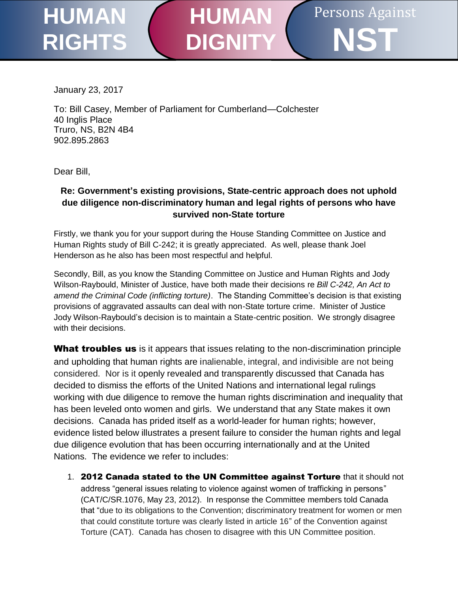## Persons Against **NST HUMAN RIGHTS HUMAN DIGNIT**

January 23, 2017

To: Bill Casey, Member of Parliament for Cumberland—Colchester 40 Inglis Place Truro, NS, B2N 4B4 [902.895.2863](tel:9028952863)

Dear Bill,

## **Re: Government's existing provisions, State-centric approach does not uphold due diligence non-discriminatory human and legal rights of persons who have survived non-State torture**

Firstly, we thank you for your support during the House Standing Committee on Justice and Human Rights study of Bill C-242; it is greatly appreciated. As well, please thank Joel Henderson as he also has been most respectful and helpful.

Secondly, Bill, as you know the Standing Committee on Justice and Human Rights and Jody Wilson-Raybould, Minister of Justice, have both made their decisions re *Bill C-242, An Act to amend the Criminal Code (inflicting torture)*. The Standing Committee's decision is that existing provisions of aggravated assaults can deal with non-State torture crime. Minister of Justice Jody Wilson-Raybould's decision is to maintain a State-centric position. We strongly disagree with their decisions.

What troubles us is it appears that issues relating to the non-discrimination principle and upholding that human rights are inalienable, integral, and indivisible are not being considered. Nor is it openly revealed and transparently discussed that Canada has decided to dismiss the efforts of the United Nations and international legal rulings working with due diligence to remove the human rights discrimination and inequality that has been leveled onto women and girls. We understand that any State makes it own decisions. Canada has prided itself as a world-leader for human rights; however, evidence listed below illustrates a present failure to consider the human rights and legal due diligence evolution that has been occurring internationally and at the United Nations. The evidence we refer to includes:

1. 2012 Canada stated to the UN Committee against Torture that it should not address "general issues relating to violence against women of trafficking in persons" (CAT/C/SR.1076, May 23, 2012). In response the Committee members told Canada that "due to its obligations to the Convention; discriminatory treatment for women or men that could constitute torture was clearly listed in article 16" of the Convention against Torture (CAT). Canada has chosen to disagree with this UN Committee position.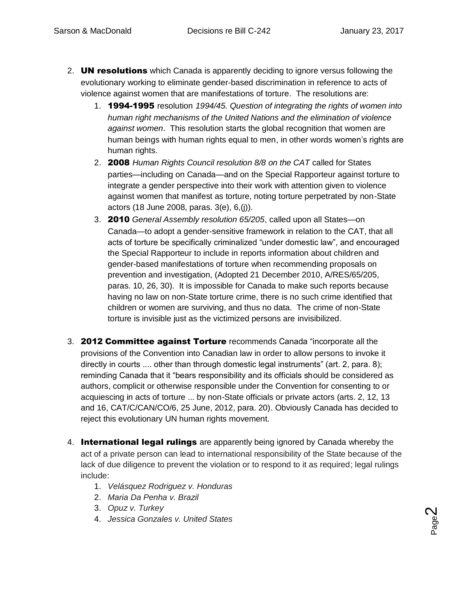- 2. **UN resolutions** which Canada is apparently deciding to ignore versus following the evolutionary working to eliminate gender-based discrimination in reference to acts of violence against women that are manifestations of torture. The resolutions are:
	- 1. 1994-1995 resolution *[1994/45. Question of integrating the rights of women into](http://www.un.org/womenwatch/daw/vaw/v-hrc.htm)  [human right mechanisms of the United Nations and the elimination of violence](http://www.un.org/womenwatch/daw/vaw/v-hrc.htm)  [against women](http://www.un.org/womenwatch/daw/vaw/v-hrc.htm)*. This resolution starts the global recognition that women are human beings with human rights equal to men, in other words women's rights are human rights.
	- 2. 2008 *Human Rights Council resolution 8/8 on the CAT* called for States parties—including on Canada—and on the Special Rapporteur against torture to integrate a gender perspective into their work with attention given to violence against women that manifest as torture, noting torture perpetrated by non-State actors (18 June 2008, paras. 3(e), 6,(j)).
	- 3. 2010 *General Assembly resolution 65/205*, called upon all States—on Canada—to adopt a gender-sensitive framework in relation to the CAT, that all acts of torture be specifically criminalized "under domestic law", and encouraged the Special Rapporteur to include in reports information about children and gender-based manifestations of torture when recommending proposals on prevention and investigation, (Adopted 21 December 2010, A/RES/65/205, paras. 10, 26, 30). It is impossible for Canada to make such reports because having no law on non-State torture crime, there is no such crime identified that children or women are surviving, and thus no data. The crime of non-State torture is invisible just as the victimized persons are invisibilized.
- 3. 2012 Committee against Torture recommends Canada "incorporate all the provisions of the Convention into Canadian law in order to allow persons to invoke it directly in courts .... other than through domestic legal instruments" (art. 2, para. 8); reminding Canada that it "bears responsibility and its officials should be considered as authors, complicit or otherwise responsible under the Convention for consenting to or acquiescing in acts of torture ... by non-State officials or private actors (arts. 2, 12, 13 and 16, CAT/C/CAN/CO/6, 25 June, 2012, para. 20). Obviously Canada has decided to reject this evolutionary UN human rights movement.
- 4. **International legal rulings** are apparently being ignored by Canada whereby the act of a private person can lead to international responsibility of the State because of the lack of due diligence to prevent the violation or to respond to it as required; legal rulings include:
	- 1. *Velásquez Rodriguez v. Honduras*
	- 2. *Maria Da Penha v. Brazil*
	- 3. *Opuz v. Turkey*
	- 4. *Jessica Gonzales v. United States*

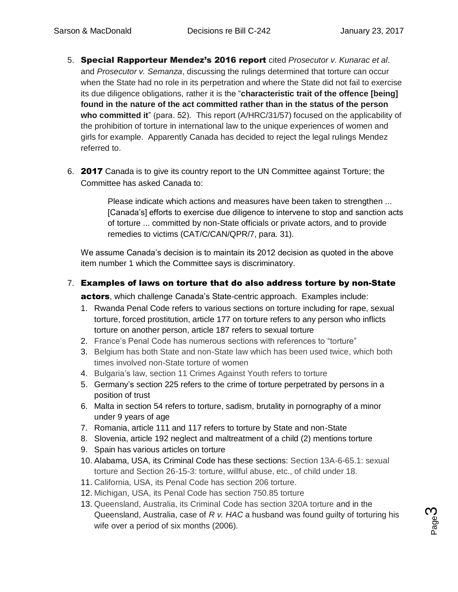- 5. Special Rapporteur Mendez's 2016 report cited *Prosecutor v. Kunarac et al*. and *Prosecutor v. Semanza*, discussing the rulings determined that torture can occur when the State had no role in its perpetration and where the State did not fail to exercise its due diligence obligations, rather it is the "**characteristic trait of the offence [being] found in the nature of the act committed rather than in the status of the person who committed it**" (para. 52). This report (A/HRC/31/57) focused on the applicability of the prohibition of torture in international law to the unique experiences of women and girls for example. Apparently Canada has decided to reject the legal rulings Mendez referred to.
- 6. 2017 Canada is to give its country report to the UN Committee against Torture; the Committee has asked Canada to:

Please indicate which actions and measures have been taken to strengthen ... [Canada's] efforts to exercise due diligence to intervene to stop and sanction acts of torture ... committed by non-State officials or private actors, and to provide remedies to victims (CAT/C/CAN/QPR/7, para. 31).

We assume Canada's decision is to maintain its 2012 decision as quoted in the above item number 1 which the Committee says is discriminatory.

## 7. Examples of laws on torture that do also address torture by non-State

actors, which challenge Canada's State-centric approach. Examples include:

- 1. Rwanda Penal Code refers to various sections on torture including for rape, sexual torture, forced prostitution, article 177 on torture refers to any person who inflicts torture on another person, article 187 refers to sexual torture
- 2. France's Penal Code has numerous sections with references to "torture"
- 3. Belgium has both State and non-State law which has been used twice, which both times involved non-State torture of women
- 4. Bulgaria's law, section 11 Crimes Against Youth refers to torture
- 5. Germany's section 225 refers to the crime of torture perpetrated by persons in a position of trust
- 6. Malta in section 54 refers to torture, sadism, brutality in pornography of a minor under 9 years of age
- 7. Romania, article 111 and 117 refers to torture by State and non-State
- 8. Slovenia, article 192 neglect and maltreatment of a child (2) mentions torture
- 9. Spain has various articles on torture
- 10. Alabama, USA, its Criminal Code has these sections: Section 13A-6-65.1: sexual torture and Section 26-15-3: torture, willful abuse, etc., of child under 18.
- 11. California, USA, its Penal Code has section 206 torture.
- 12. Michigan, USA, its Penal Code has section 750.85 torture
- 13. Queensland, Australia, its Criminal Code has section 320A torture and in the Queensland, Australia, case of *R v. HAC* a husband was found guilty of torturing his wife over a period of six months (2006).